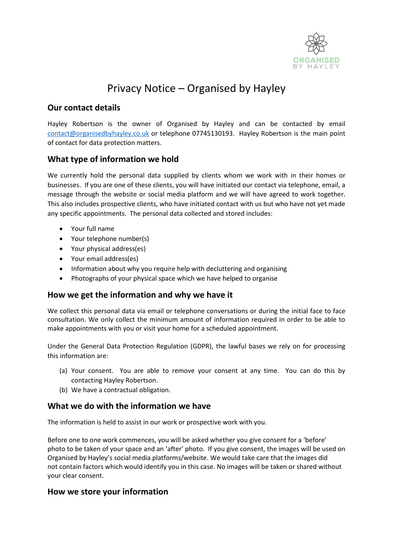

# Privacy Notice – Organised by Hayley

### **Our contact details**

Hayley Robertson is the owner of Organised by Hayley and can be contacted by email [contact@organisedbyhayley.co.uk](mailto:contact@organisedbyhayley.co.uk) or telephone 07745130193. Hayley Robertson is the main point of contact for data protection matters.

## **What type of information we hold**

We currently hold the personal data supplied by clients whom we work with in their homes or businesses. If you are one of these clients, you will have initiated our contact via telephone, email, a message through the website or social media platform and we will have agreed to work together. This also includes prospective clients, who have initiated contact with us but who have not yet made any specific appointments. The personal data collected and stored includes:

- Your full name
- Your telephone number(s)
- Your physical address(es)
- Your email address(es)
- Information about why you require help with decluttering and organising
- Photographs of your physical space which we have helped to organise

## **How we get the information and why we have it**

We collect this personal data via email or telephone conversations or during the initial face to face consultation. We only collect the minimum amount of information required in order to be able to make appointments with you or visit your home for a scheduled appointment.

Under the General Data Protection Regulation (GDPR), the lawful bases we rely on for processing this information are:

- (a) Your consent. You are able to remove your consent at any time. You can do this by contacting Hayley Robertson.
- (b) We have a contractual obligation.

#### **What we do with the information we have**

The information is held to assist in our work or prospective work with you.

Before one to one work commences, you will be asked whether you give consent for a 'before' photo to be taken of your space and an 'after' photo. If you give consent, the images will be used on Organised by Hayley's social media platforms/website. We would take care that the images did not contain factors which would identify you in this case. No images will be taken or shared without your clear consent.

#### **How we store your information**